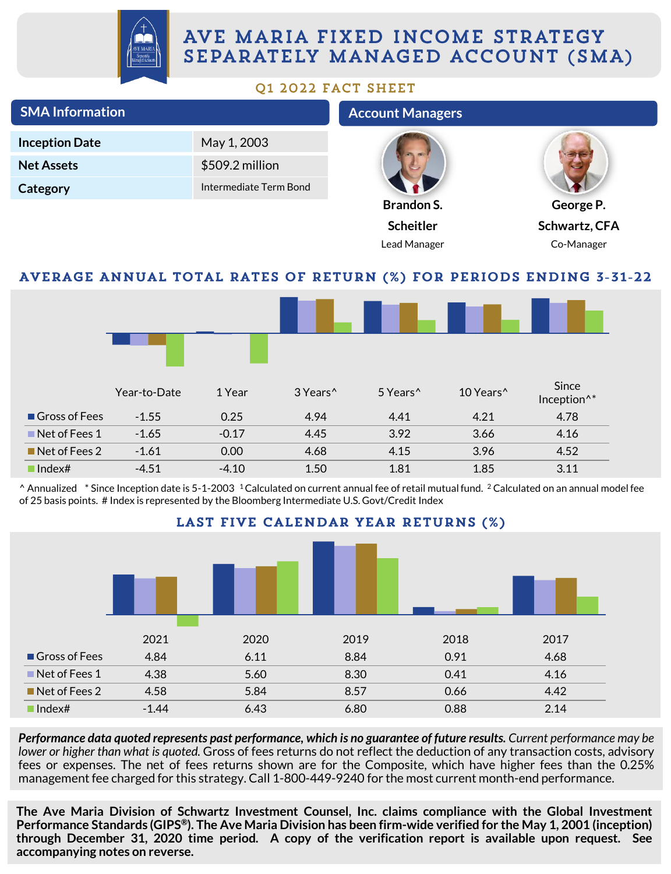

# AVE MARIA FIXED INCOME STRATEGY SEPARATELY MANAGED ACCOUNT (SMA)

# Q1 2022 FACT SHEET

| <b>SMA Information</b>       |              |                        |                      | <b>Account Managers</b>                                                                                                                                                                                                                                                                                                |                       |                                  |  |
|------------------------------|--------------|------------------------|----------------------|------------------------------------------------------------------------------------------------------------------------------------------------------------------------------------------------------------------------------------------------------------------------------------------------------------------------|-----------------------|----------------------------------|--|
| <b>Inception Date</b>        |              | May 1, 2003            |                      |                                                                                                                                                                                                                                                                                                                        |                       |                                  |  |
| <b>Net Assets</b>            |              | \$509.2 million        |                      |                                                                                                                                                                                                                                                                                                                        |                       |                                  |  |
| Category                     |              | Intermediate Term Bond |                      |                                                                                                                                                                                                                                                                                                                        |                       |                                  |  |
|                              |              |                        |                      | <b>Brandon S.</b>                                                                                                                                                                                                                                                                                                      |                       | George P.                        |  |
|                              |              |                        |                      | <b>Scheitler</b>                                                                                                                                                                                                                                                                                                       |                       | Schwartz, CFA                    |  |
|                              |              |                        |                      | Lead Manager                                                                                                                                                                                                                                                                                                           |                       | Co-Manager                       |  |
|                              |              |                        |                      | AVERAGE ANNUAL TOTAL RATES OF RETURN (%) FOR PERIODS ENDING 3-31-22                                                                                                                                                                                                                                                    |                       |                                  |  |
|                              |              |                        |                      |                                                                                                                                                                                                                                                                                                                        |                       |                                  |  |
|                              | Year-to-Date | 1 Year                 | 3 Years <sup>^</sup> | 5 Years <sup>^</sup>                                                                                                                                                                                                                                                                                                   | 10 Years <sup>^</sup> | Since<br>Inception <sup>^*</sup> |  |
| Gross of Fees                | $-1.55$      | 0.25                   | 4.94                 | 4.41                                                                                                                                                                                                                                                                                                                   | 4.21                  | 4.78                             |  |
| $\blacksquare$ Net of Fees 1 | $-1.65$      | $-0.17$                | 4.45                 | 3.92                                                                                                                                                                                                                                                                                                                   | 3.66                  | 4.16                             |  |
| $\blacksquare$ Net of Fees 2 | $-1.61$      | 0.00                   | 4.68                 | 4.15                                                                                                                                                                                                                                                                                                                   | 3.96                  | 4.52                             |  |
| $\blacksquare$ Index#        | $-4.51$      | $-4.10$                | 1.50                 | 1.81                                                                                                                                                                                                                                                                                                                   | 1.85                  | 3.11                             |  |
|                              |              |                        |                      | ^ Annualized * Since Inception date is 5-1-2003 <sup>1</sup> Calculated on current annual fee of retail mutual fund. <sup>2</sup> Calculated on an annual model fee<br>of 25 basis points. # Index is represented by the Bloomberg Intermediate U.S. Govt/Credit Index<br><b>IAST FIVE CAI FNDAD VEAD DETIIDNS (%)</b> |                       |                                  |  |



Performance data quoted represents past performance, which is no guarantee of future results. Current performance may be *lower or higher than what is quoted.* Gross of fees returns do not reflect the deduction of any transaction costs, advisory fees or expenses. The net of fees returns shown are for the Composite, which have higher fees than the 0.25% management fee charged for this strategy. Call 1-800-449-9240 for the most current month-end performance.

**The Ave Maria Division of Schwartz Investment Counsel, Inc. claims compliance with the Global Investment** Performance Standards (GIPS®). The Ave Maria Division has been firm-wide verified for the May 1, 2001 (inception) **through December 31, 2020 time period. A copy of the verification report is available upon request. See accompanying notes on reverse.**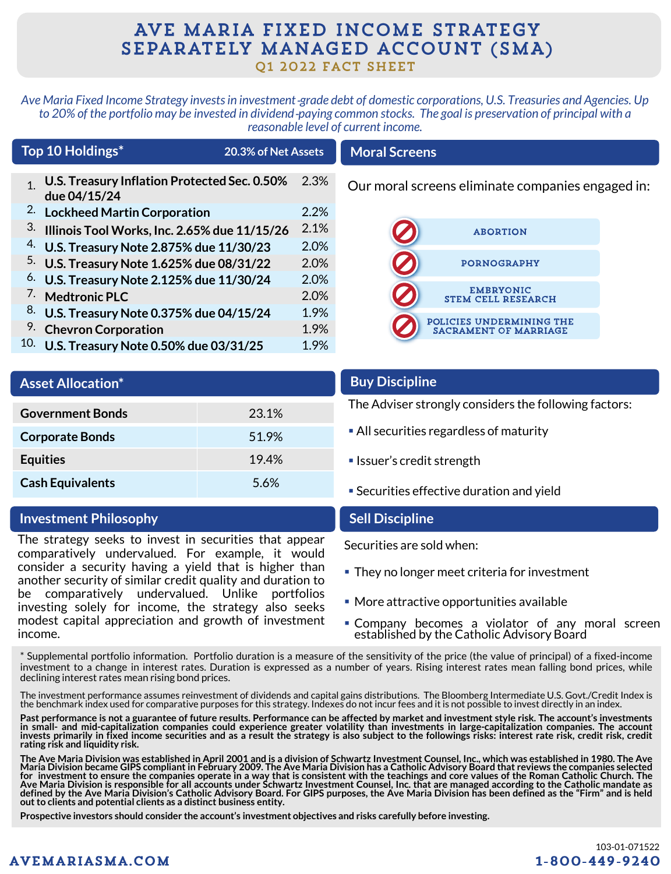# AVE MARIA FIXED INCOME STRATEGY SEPARATELY MANAGED ACCOUNT (SMA) Q1 2022 FACT SHEET

*Ave Maria Fixed Income Strategy invests in investment*‐*grade debt of domestic corporations, U.S. Treasuries and Agencies. Up to 20% of the portfolio may be invested in dividend*‐*paying common stocks. The goal is preservation of principal with a reasonable level of current income.*

|              | Top 10 Holdings*                                             | 20.3% of Net Assets |      |
|--------------|--------------------------------------------------------------|---------------------|------|
| $\mathbf{1}$ | U.S. Treasury Inflation Protected Sec. 0.50%<br>due 04/15/24 |                     | 2.3% |
| 2.           | <b>Lockheed Martin Corporation</b>                           |                     | 2.2% |
| 3.           | Illinois Tool Works, Inc. 2.65% due 11/15/26                 |                     | 2.1% |
| 4.           | U.S. Treasury Note 2.875% due 11/30/23                       |                     | 2.0% |
|              | <sup>5.</sup> U.S. Treasury Note 1.625% due 08/31/22         |                     | 2.0% |
| 6.           | U.S. Treasury Note 2.125% due 11/30/24                       |                     | 2.0% |
|              | 7. Medtronic PLC                                             |                     | 2.0% |
| 8.           | U.S. Treasury Note 0.375% due 04/15/24                       |                     | 1.9% |
| 9.           | <b>Chevron Corporation</b>                                   |                     | 1.9% |
| 10.          | U.S. Treasury Note 0.50% due 03/31/25                        |                     | 1.9% |

# **Moral Screens**

Our moral screens eliminate companies engaged in:



| <b>Asset Allocation*</b> |       |
|--------------------------|-------|
| <b>Government Bonds</b>  | 23.1% |
| <b>Corporate Bonds</b>   | 51.9% |
| <b>Equities</b>          | 19.4% |
| <b>Cash Equivalents</b>  | 5.6%  |

# **Investment Philosophy**

The strategy seeks to invest in securities that appear comparatively undervalued. For example, it would consider a security having a yield that is higher than another security of similar credit quality and duration to be comparatively undervalued. Unlike portfolios investing solely for income, the strategy also seeks modest capital appreciation and growth of investment income.

# **Buy Discipline**

The Adviser strongly considers the following factors:

- **All securities regardless of maturity**
- **E** Issuer's credit strength
- **Securities effective duration and yield**

# **Sell Discipline**

- They no longer meet criteria for investment
- More attractive opportunities available
- **Company becomes a violator of any moral screen** established by the Catholic Advisory Board

\* Supplemental portfolio information. Portfolio duration is a measure of the sensitivity of the price (the value of principal) of a fixed-income investment to a change in interest rates. Duration is expressed as a number of years. Rising interest rates mean falling bond prices, while declining interest rates mean rising bond prices.

The investment performance assumes reinvestment of dividends and capital gains distributions. The Bloomberg Intermediate U.S. Govt./Credit Index is the benchmark index used for comparative purposes for this strategy. Indexes do not incur fees and it is not possible to invest directly in an index.

Past performance is not a guarantee of future results. Performance can be affected by market and investment style risk. The account's investments in small- and mid-capitalization companies could experience greater volatility than investments in large-capitalization companies. The account invests primarily in fixed income securities and as a result the strategy is also subject to the followings risks: interest rate risk, credit risk, credit **rating risk and liquidity risk.**

The Ave Maria Division was established in April 2001 and is a division of Schwartz Investment Counsel, Inc., which was established in 1980. The Ave<br>Maria Division became GIPS compliant in February 2009. The Ave Maria Divis for investment to ensure the companies operate in a way that is consistent with the teachings and core values of the Roman Catholic Church. The<br>Ave Maria Division is responsible for all accounts under Schwartz Investment defined by the Ave Maria Division's Catholic Advisory Board. For GIPS purposes, the Ave Maria Division has been defined as the "Firm" and is held **out to clients and potential clients as a distinct business entity.**

**Prospective investors should consider the account's investment objectives and risks carefully before investing.**

Securities are sold when:

- 
- 
-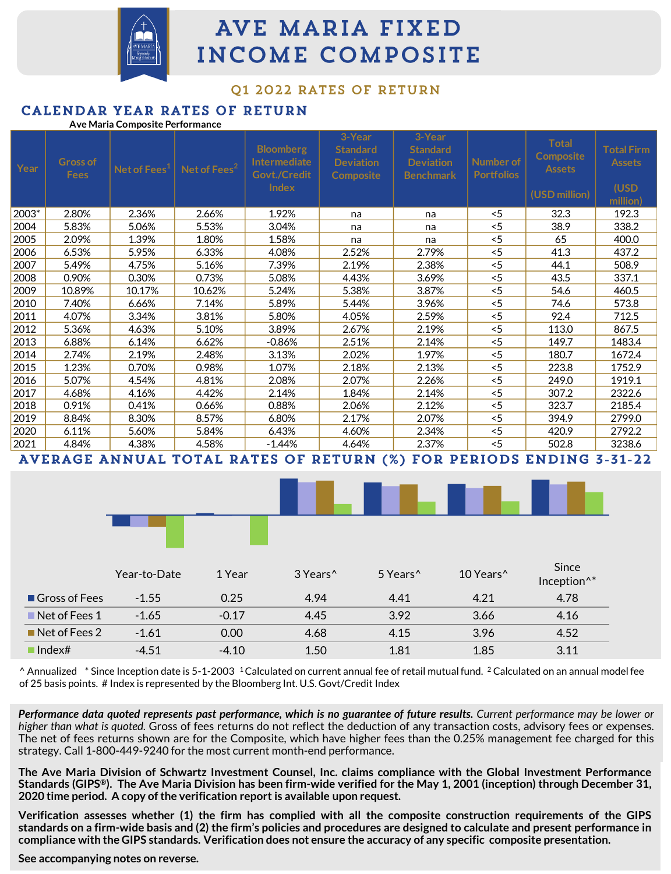

# AVE MARIA FIXED INCOME COMPOSITE

# 01 2022 RATES OF RETURN

### CALENDAR YEAR RATES OF RETURN **Ave Maria Composite Performance**

| Year  | <b>Gross of</b><br><b>Fees</b> | Net of Fees <sup>1</sup> | Net of Fees <sup>2</sup> | <b>Bloomberg</b><br>Intermediate<br>Govt./Credit<br>Index | 3-Year<br><b>Standard</b><br><b>Deviation</b><br>Composite | 3-Year<br><b>Standard</b><br><b>Deviation</b><br><b>Benchmark</b> | Number of<br><b>Portfolios</b> | <b>Total</b><br><b>Composite</b><br><b>Assets</b> | <b>Total Firm</b><br><b>Assets</b><br>(USD |
|-------|--------------------------------|--------------------------|--------------------------|-----------------------------------------------------------|------------------------------------------------------------|-------------------------------------------------------------------|--------------------------------|---------------------------------------------------|--------------------------------------------|
|       |                                |                          |                          |                                                           |                                                            |                                                                   |                                | (USD million)                                     | million)                                   |
| 2003* | 2.80%                          | 2.36%                    | 2.66%                    | 1.92%                                                     | na                                                         | na                                                                | < 5                            | 32.3                                              | 192.3                                      |
| 2004  | 5.83%                          | 5.06%                    | 5.53%                    | 3.04%                                                     | na                                                         | na                                                                | < 5                            | 38.9                                              | 338.2                                      |
| 2005  | 2.09%                          | 1.39%                    | 1.80%                    | 1.58%                                                     | na                                                         | na                                                                | 5                              | 65                                                | 400.0                                      |
| 2006  | 6.53%                          | 5.95%                    | 6.33%                    | 4.08%                                                     | 2.52%                                                      | 2.79%                                                             | 5                              | 41.3                                              | 437.2                                      |
| 2007  | 5.49%                          | 4.75%                    | 5.16%                    | 7.39%                                                     | 2.19%                                                      | 2.38%                                                             | 5                              | 44.1                                              | 508.9                                      |
| 2008  | 0.90%                          | 0.30%                    | 0.73%                    | 5.08%                                                     | 4.43%                                                      | 3.69%                                                             | 5                              | 43.5                                              | 337.1                                      |
| 2009  | 10.89%                         | 10.17%                   | 10.62%                   | 5.24%                                                     | 5.38%                                                      | 3.87%                                                             | 5                              | 54.6                                              | 460.5                                      |
| 2010  | 7.40%                          | 6.66%                    | 7.14%                    | 5.89%                                                     | 5.44%                                                      | 3.96%                                                             | 5                              | 74.6                                              | 573.8                                      |
| 2011  | 4.07%                          | 3.34%                    | 3.81%                    | 5.80%                                                     | 4.05%                                                      | 2.59%                                                             | 5                              | 92.4                                              | 712.5                                      |
| 2012  | 5.36%                          | 4.63%                    | 5.10%                    | 3.89%                                                     | 2.67%                                                      | 2.19%                                                             | < 5                            | 113.0                                             | 867.5                                      |
| 2013  | 6.88%                          | 6.14%                    | 6.62%                    | $-0.86%$                                                  | 2.51%                                                      | 2.14%                                                             | 5                              | 149.7                                             | 1483.4                                     |
| 2014  | 2.74%                          | 2.19%                    | 2.48%                    | 3.13%                                                     | 2.02%                                                      | 1.97%                                                             | < 5                            | 180.7                                             | 1672.4                                     |
| 2015  | 1.23%                          | 0.70%                    | 0.98%                    | 1.07%                                                     | 2.18%                                                      | 2.13%                                                             | 5                              | 223.8                                             | 1752.9                                     |
| 2016  | 5.07%                          | 4.54%                    | 4.81%                    | 2.08%                                                     | 2.07%                                                      | 2.26%                                                             | < 5                            | 249.0                                             | 1919.1                                     |
| 2017  | 4.68%                          | 4.16%                    | 4.42%                    | 2.14%                                                     | 1.84%                                                      | 2.14%                                                             | 5                              | 307.2                                             | 2322.6                                     |
| 2018  | 0.91%                          | 0.41%                    | 0.66%                    | 0.88%                                                     | 2.06%                                                      | 2.12%                                                             | 5                              | 323.7                                             | 2185.4                                     |
| 2019  | 8.84%                          | 8.30%                    | 8.57%                    | 6.80%                                                     | 2.17%                                                      | 2.07%                                                             | < 5                            | 394.9                                             | 2799.0                                     |
| 2020  | 6.11%                          | 5.60%                    | 5.84%                    | 6.43%                                                     | 4.60%                                                      | 2.34%                                                             | 5                              | 420.9                                             | 2792.2                                     |
| 2021  | 4.84%                          | 4.38%                    | 4.58%                    | $-1.44\%$                                                 | 4.64%                                                      | 2.37%                                                             | 5                              | 502.8                                             | 3238.6                                     |
|       |                                |                          |                          |                                                           |                                                            |                                                                   |                                |                                                   |                                            |

AVERAGE ANNUAL TOTAL RATES OF RETURN (%) FOR PERIODS ENDING 3-31-22





|                              | Year-to-Date | 1 Year  | 3 Years <sup>^</sup> | 5 Years <sup>^</sup> | 10 Years <sup>^</sup> | Since<br>Inception <sup>^*</sup> |
|------------------------------|--------------|---------|----------------------|----------------------|-----------------------|----------------------------------|
| Gross of Fees                | $-1.55$      | 0.25    | 4.94                 | 4.41                 | 4.21                  | 4.78                             |
| $\blacksquare$ Net of Fees 1 | $-1.65$      | $-0.17$ | 4.45                 | 3.92                 | 3.66                  | 4.16                             |
| $\blacksquare$ Net of Fees 2 | $-1.61$      | 0.00    | 4.68                 | 4.15                 | 3.96                  | 4.52                             |
| $\blacksquare$ Index#        | $-4.51$      | $-4.10$ | 1.50                 | 1.81                 | 1.85                  | 3.11                             |

 $^{\circ}$  Annualized  $^*$  Since Inception date is 5-1-2003 <sup>1</sup>Calculated on current annual fee of retail mutual fund. <sup>2</sup> Calculated on an annual model fee of 25 basis points. # Index is represented by the Bloomberg Int. U.S. Govt/Credit Index

Performance data quoted represents past performance, which is no guarantee of future results. Current performance may be lower or *higher than what is quoted.* Gross of fees returns do not reflect the deduction of any transaction costs, advisory fees or expenses. The net of fees returns shown are for the Composite, which have higher fees than the 0.25% management fee charged for this strategy. Call 1-800-449-9240 for the most current month-end performance.

The Ave Maria Division of Schwartz Investment Counsel, Inc. claims compliance with the Global Investment Performance Standards (GIPS®). The Ave Maria Division has been firm-wide verified for the May 1, 2001 (inception) through December 31, **2020 time period. A copy ofthe verification report is available upon request.**

Verification assesses whether (1) the firm has complied with all the composite construction requirements of the GIPS standards on a firm-wide basis and (2) the firm's policies and procedures are designed to calculate and present performance in compliance with the GIPS standards. Verification does not ensure the accuracy of any specific composite presentation.

# **See accompanying notes on reverse.**